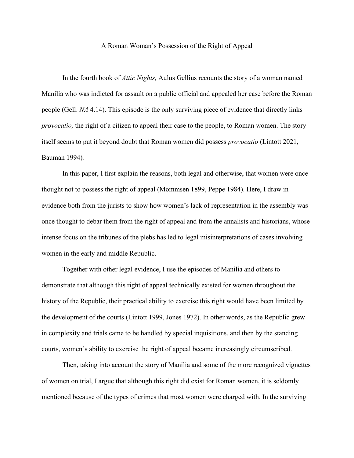## A Roman Woman's Possession of the Right of Appeal

In the fourth book of *Attic Nights,* Aulus Gellius recounts the story of a woman named Manilia who was indicted for assault on a public official and appealed her case before the Roman people (Gell. *NA* 4.14). This episode is the only surviving piece of evidence that directly links *provocatio,* the right of a citizen to appeal their case to the people, to Roman women. The story itself seems to put it beyond doubt that Roman women did possess *provocatio* (Lintott 2021, Bauman 1994)*.*

In this paper, I first explain the reasons, both legal and otherwise, that women were once thought not to possess the right of appeal (Mommsen 1899, Peppe 1984). Here, I draw in evidence both from the jurists to show how women's lack of representation in the assembly was once thought to debar them from the right of appeal and from the annalists and historians, whose intense focus on the tribunes of the plebs has led to legal misinterpretations of cases involving women in the early and middle Republic.

Together with other legal evidence, I use the episodes of Manilia and others to demonstrate that although this right of appeal technically existed for women throughout the history of the Republic, their practical ability to exercise this right would have been limited by the development of the courts (Lintott 1999, Jones 1972). In other words, as the Republic grew in complexity and trials came to be handled by special inquisitions, and then by the standing courts, women's ability to exercise the right of appeal became increasingly circumscribed.

Then, taking into account the story of Manilia and some of the more recognized vignettes of women on trial, I argue that although this right did exist for Roman women, it is seldomly mentioned because of the types of crimes that most women were charged with. In the surviving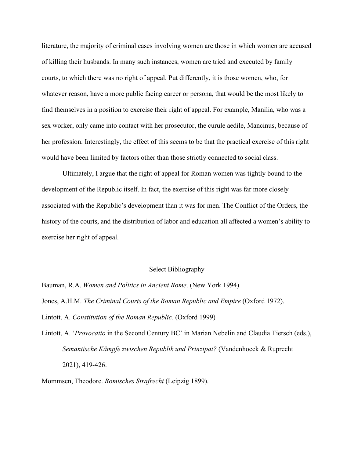literature, the majority of criminal cases involving women are those in which women are accused of killing their husbands. In many such instances, women are tried and executed by family courts, to which there was no right of appeal. Put differently, it is those women, who, for whatever reason, have a more public facing career or persona, that would be the most likely to find themselves in a position to exercise their right of appeal. For example, Manilia, who was a sex worker, only came into contact with her prosecutor, the curule aedile, Mancinus, because of her profession. Interestingly, the effect of this seems to be that the practical exercise of this right would have been limited by factors other than those strictly connected to social class.

Ultimately, I argue that the right of appeal for Roman women was tightly bound to the development of the Republic itself. In fact, the exercise of this right was far more closely associated with the Republic's development than it was for men. The Conflict of the Orders, the history of the courts, and the distribution of labor and education all affected a women's ability to exercise her right of appeal.

## Select Bibliography

Bauman, R.A. *Women and Politics in Ancient Rome*. (New York 1994). Jones, A.H.M. *The Criminal Courts of the Roman Republic and Empire* (Oxford 1972). Lintott, A. *Constitution of the Roman Republic.* (Oxford 1999)

Lintott, A. '*Provocatio* in the Second Century BC' in Marian Nebelin and Claudia Tiersch (eds.), *Semantische Kämpfe zwischen Republik und Prinzipat?* (Vandenhoeck & Ruprecht 2021), 419-426.

Mommsen, Theodore. *Romisches Strafrecht* (Leipzig 1899).